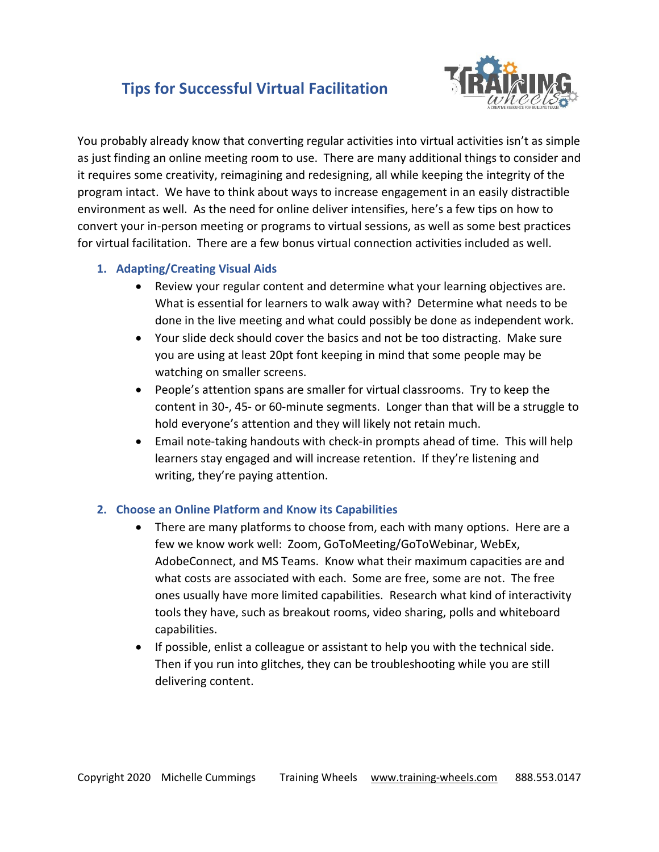### **Tips for Successful Virtual Facilitation**



You probably already know that converting regular activities into virtual activities isn't as simple as just finding an online meeting room to use. There are many additional things to consider and it requires some creativity, reimagining and redesigning, all while keeping the integrity of the program intact. We have to think about ways to increase engagement in an easily distractible environment as well. As the need for online deliver intensifies, here's a few tips on how to convert your in-person meeting or programs to virtual sessions, as well as some best practices for virtual facilitation. There are a few bonus virtual connection activities included as well.

#### **1. Adapting/Creating Visual Aids**

- Review your regular content and determine what your learning objectives are. What is essential for learners to walk away with? Determine what needs to be done in the live meeting and what could possibly be done as independent work.
- Your slide deck should cover the basics and not be too distracting. Make sure you are using at least 20pt font keeping in mind that some people may be watching on smaller screens.
- People's attention spans are smaller for virtual classrooms. Try to keep the content in 30-, 45- or 60-minute segments. Longer than that will be a struggle to hold everyone's attention and they will likely not retain much.
- Email note-taking handouts with check-in prompts ahead of time. This will help learners stay engaged and will increase retention. If they're listening and writing, they're paying attention.

#### **2. Choose an Online Platform and Know its Capabilities**

- There are many platforms to choose from, each with many options. Here are a few we know work well: Zoom, GoToMeeting/GoToWebinar, WebEx, AdobeConnect, and MS Teams. Know what their maximum capacities are and what costs are associated with each. Some are free, some are not. The free ones usually have more limited capabilities. Research what kind of interactivity tools they have, such as breakout rooms, video sharing, polls and whiteboard capabilities.
- If possible, enlist a colleague or assistant to help you with the technical side. Then if you run into glitches, they can be troubleshooting while you are still delivering content.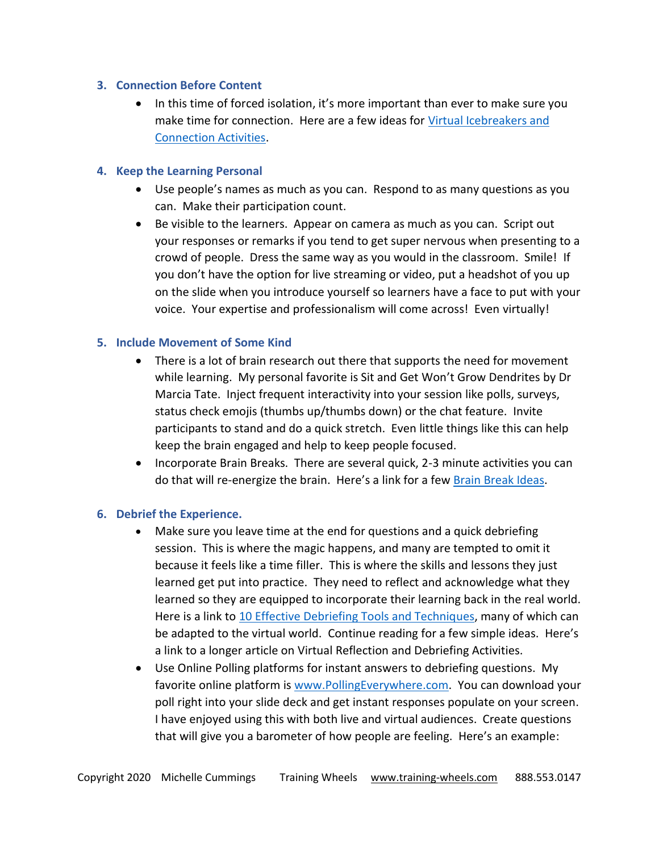#### **3. Connection Before Content**

• In this time of forced isolation, it's more important than ever to make sure you make time for connection. Here are a few ideas for [Virtual Icebreakers and](https://training-wheels.com/virtual-icebreakers-and-connection-activities/)  [Connection Activities.](https://training-wheels.com/virtual-icebreakers-and-connection-activities/)

#### **4. Keep the Learning Personal**

- Use people's names as much as you can. Respond to as many questions as you can. Make their participation count.
- Be visible to the learners. Appear on camera as much as you can. Script out your responses or remarks if you tend to get super nervous when presenting to a crowd of people. Dress the same way as you would in the classroom. Smile! If you don't have the option for live streaming or video, put a headshot of you up on the slide when you introduce yourself so learners have a face to put with your voice. Your expertise and professionalism will come across! Even virtually!

#### **5. Include Movement of Some Kind**

- There is a lot of brain research out there that supports the need for movement while learning. My personal favorite is Sit and Get Won't Grow Dendrites by Dr Marcia Tate. Inject frequent interactivity into your session like polls, surveys, status check emojis (thumbs up/thumbs down) or the chat feature. Invite participants to stand and do a quick stretch. Even little things like this can help keep the brain engaged and help to keep people focused.
- Incorporate Brain Breaks. There are several quick, 2-3 minute activities you can do that will re-energize the brain. Here's a link for a few [Brain Break Ideas.](https://training-wheels.com/brain-break-activities/)

#### **6. Debrief the Experience.**

- Make sure you leave time at the end for questions and a quick debriefing session. This is where the magic happens, and many are tempted to omit it because it feels like a time filler. This is where the skills and lessons they just learned get put into practice. They need to reflect and acknowledge what they learned so they are equipped to incorporate their learning back in the real world. Here is a link to [10 Effective Debriefing Tools and Techniques,](https://training-wheels.com/effective-debriefing-tools-and-techniques/) many of which can be adapted to the virtual world. Continue reading for a few simple ideas. Here's a link to a longer article on Virtual Reflection and Debriefing Activities.
- Use Online Polling platforms for instant answers to debriefing questions. My favorite online platform is [www.PollingEverywhere.com.](http://www.pollingeverywhere.com/) You can download your poll right into your slide deck and get instant responses populate on your screen. I have enjoyed using this with both live and virtual audiences. Create questions that will give you a barometer of how people are feeling. Here's an example: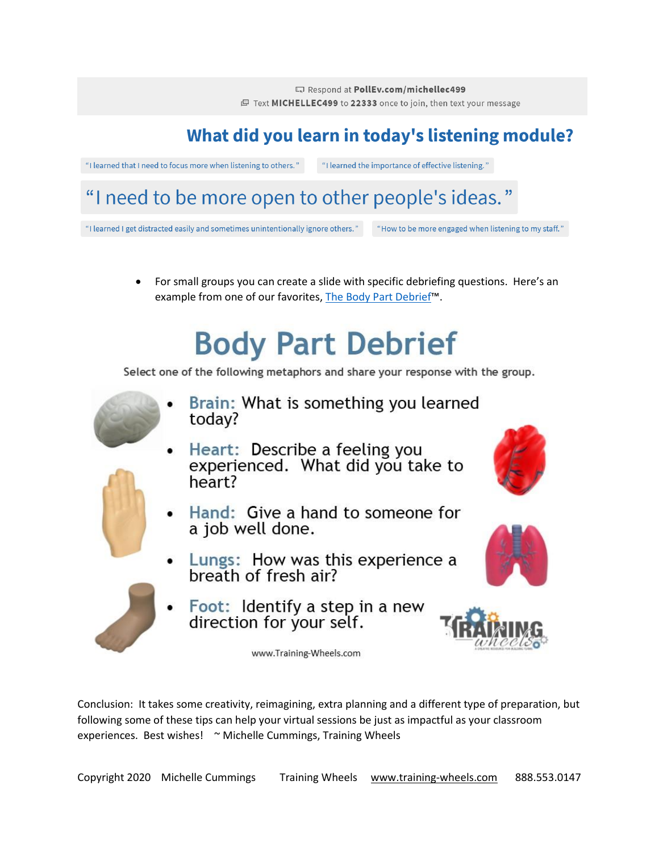Respond at PollEv.com/michellec499 图 Text MICHELLEC499 to 22333 once to join, then text your message

## What did you learn in today's listening module?

"I learned that I need to focus more when listening to others."

"I learned the importance of effective listening."

## "I need to be more open to other people's ideas."

"I learned I get distracted easily and sometimes unintentionally ignore others."

"How to be more engaged when listening to my staff."

For small groups you can create a slide with specific debriefing questions. Here's an example from one of our favorites. The Body Part Debrief™.

# **Body Part Debrief**

Select one of the following metaphors and share your response with the group.



- Brain: What is something you learned today?
- Heart: Describe a feeling you experienced. What did you take to heart?
- Hand: Give a hand to someone for a job well done.
- Lungs: How was this experience a<br>breath of fresh air?
- Foot: Identify a step in a new<br>direction for your self.

www.Training-Wheels.com







Conclusion: It takes some creativity, reimagining, extra planning and a different type of preparation, but following some of these tips can help your virtual sessions be just as impactful as your classroom experiences. Best wishes! ~ Michelle Cummings, Training Wheels